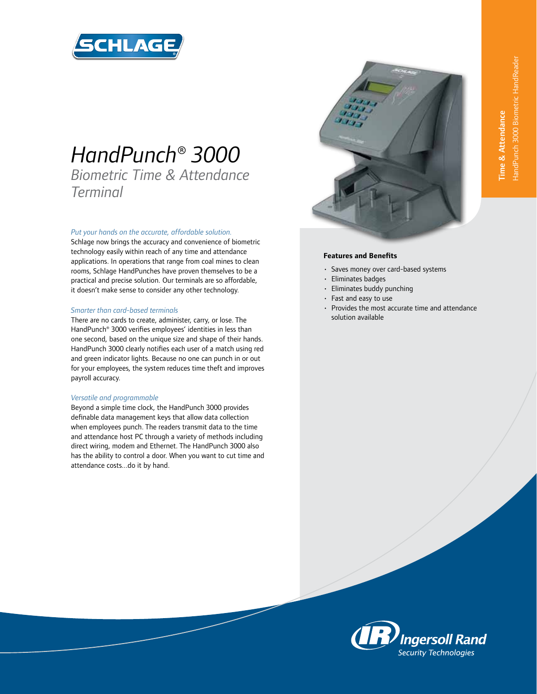

# *HandPunch® 3000*

*Biometric Time & Attendance Terminal*

## *Put your hands on the accurate, affordable solution.*

Schlage now brings the accuracy and convenience of biometric technology easily within reach of any time and attendance applications. In operations that range from coal mines to clean rooms, Schlage HandPunches have proven themselves to be a practical and precise solution. Our terminals are so affordable, it doesn't make sense to consider any other technology.

#### *Smarter than card-based terminals*

There are no cards to create, administer, carry, or lose. The HandPunch® 3000 verifies employees' identities in less than one second, based on the unique size and shape of their hands. HandPunch 3000 clearly notifies each user of a match using red and green indicator lights. Because no one can punch in or out for your employees, the system reduces time theft and improves payroll accuracy.

#### *Versatile and programmable*

Beyond a simple time clock, the HandPunch 3000 provides definable data management keys that allow data collection when employees punch. The readers transmit data to the time and attendance host PC through a variety of methods including direct wiring, modem and Ethernet. The HandPunch 3000 also has the ability to control a door. When you want to cut time and attendance costs...do it by hand.



## **Features and Benefits**

- Saves money over card-based systems
- Eliminates badges
- Eliminates buddy punching
- Fast and easy to use
- Provides the most accurate time and attendance solution available